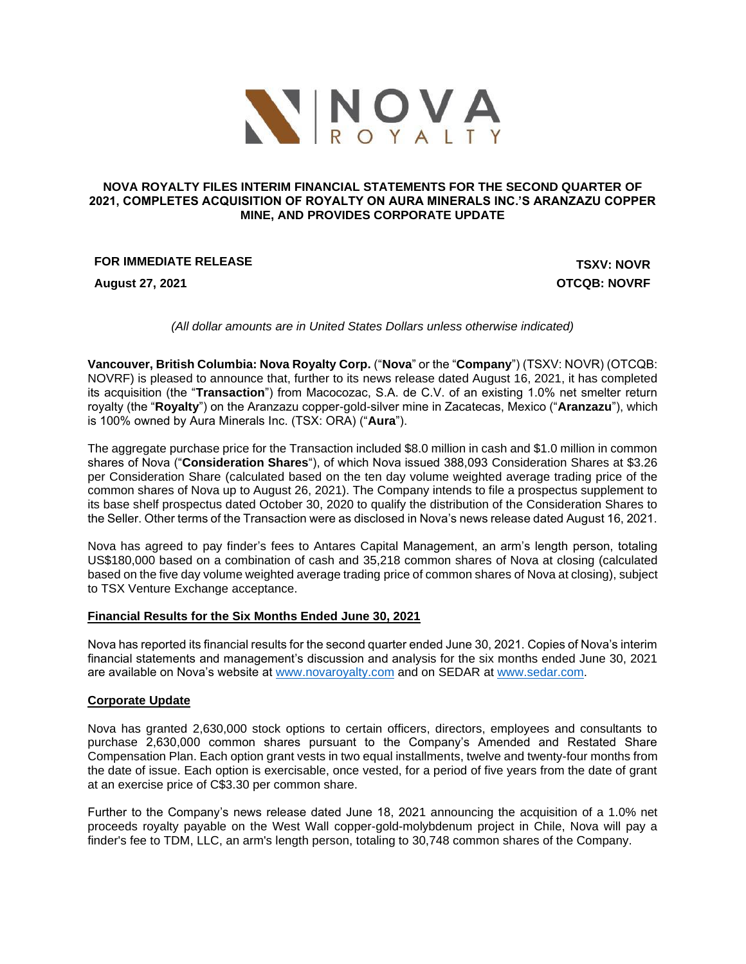

### **NOVA ROYALTY FILES INTERIM FINANCIAL STATEMENTS FOR THE SECOND QUARTER OF 2021, COMPLETES ACQUISITION OF ROYALTY ON AURA MINERALS INC.'S ARANZAZU COPPER MINE, AND PROVIDES CORPORATE UPDATE**

## **FOR IMMEDIATE RELEASE TO A 2008 TO A 2009 TO A 2009 TO A 2009 TO A 2009 TO A 2009 TO A 2009 TO A 2009 TO A 2009 TO A 2009 TO A 2009 TO A 2009 TO A 2009 TO A 2009 TO A 2009 TO A 2009 TO A 2009 TO A 2009 TO A 2009 TO A 20**

**August 27, 2021 OTCQB: NOVRF**

*(All dollar amounts are in United States Dollars unless otherwise indicated)*

**Vancouver, British Columbia: Nova Royalty Corp.** ("**Nova**" or the "**Company**") (TSXV: NOVR) (OTCQB: NOVRF) is pleased to announce that, further to its news release dated August 16, 2021, it has completed its acquisition (the "**Transaction**") from Macocozac, S.A. de C.V. of an existing 1.0% net smelter return royalty (the "**Royalty**") on the Aranzazu copper-gold-silver mine in Zacatecas, Mexico ("**Aranzazu**"), which is 100% owned by Aura Minerals Inc. (TSX: ORA) ("**Aura**").

The aggregate purchase price for the Transaction included \$8.0 million in cash and \$1.0 million in common shares of Nova ("**Consideration Shares**"), of which Nova issued 388,093 Consideration Shares at \$3.26 per Consideration Share (calculated based on the ten day volume weighted average trading price of the common shares of Nova up to August 26, 2021). The Company intends to file a prospectus supplement to its base shelf prospectus dated October 30, 2020 to qualify the distribution of the Consideration Shares to the Seller. Other terms of the Transaction were as disclosed in Nova's news release dated August 16, 2021.

Nova has agreed to pay finder's fees to Antares Capital Management, an arm's length person, totaling US\$180,000 based on a combination of cash and 35,218 common shares of Nova at closing (calculated based on the five day volume weighted average trading price of common shares of Nova at closing), subject to TSX Venture Exchange acceptance.

#### **Financial Results for the Six Months Ended June 30, 2021**

Nova has reported its financial results for the second quarter ended June 30, 2021. Copies of Nova's interim financial statements and management's discussion and analysis for the six months ended June 30, 2021 are available on Nova's website at [www.novaroyalty.com](http://www.novaroyalty.com/) and on SEDAR at [www.sedar.com.](http://www.sedar.com/)

# **Corporate Update**

Nova has granted 2,630,000 stock options to certain officers, directors, employees and consultants to purchase 2,630,000 common shares pursuant to the Company's Amended and Restated Share Compensation Plan. Each option grant vests in two equal installments, twelve and twenty-four months from the date of issue. Each option is exercisable, once vested, for a period of five years from the date of grant at an exercise price of C\$3.30 per common share.

Further to the Company's news release dated June 18, 2021 announcing the acquisition of a 1.0% net proceeds royalty payable on the West Wall copper-gold-molybdenum project in Chile, Nova will pay a finder's fee to TDM, LLC, an arm's length person, totaling to 30,748 common shares of the Company.